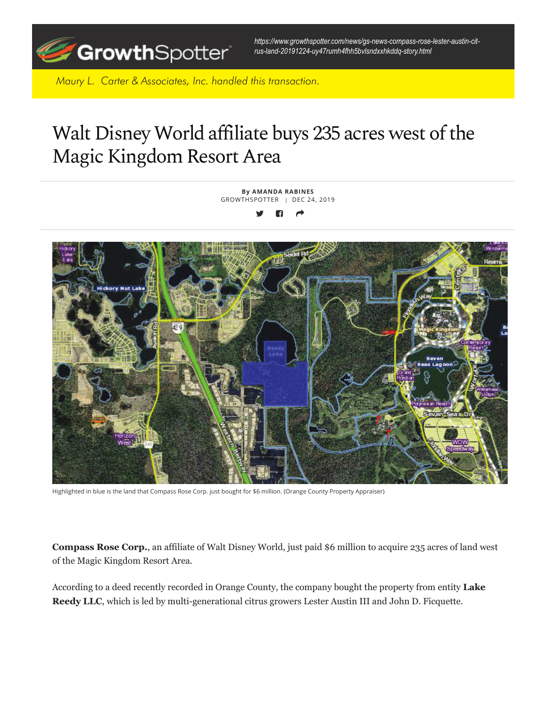

*https://www.growthspotter.com/news/gs-news-compass-rose-lester-austin-citrus-land-20191224-uy47rumh4fhh5bvlsndxxhkddq-story.html*

*Maury L. Carter & Associates, Inc. handled this transaction.*

## Walt Disney World affiliate buys 235 acres west of the Magic Kingdom Resort Area



Highlighted in blue is the land that Compass Rose Corp. just bought for \$6 million. (Orange County Property Appraiser)

**Compass Rose Corp.**, an affiliate of Walt Disney World, just paid \$6 million to acquire 235 acres of land west of the Magic Kingdom Resort Area.

According to a deed recently recorded in Orange County, the company bought the property from entity **Lake Reedy LLC**, which is led by multi-generational citrus growers Lester Austin III and John D. Ficquette.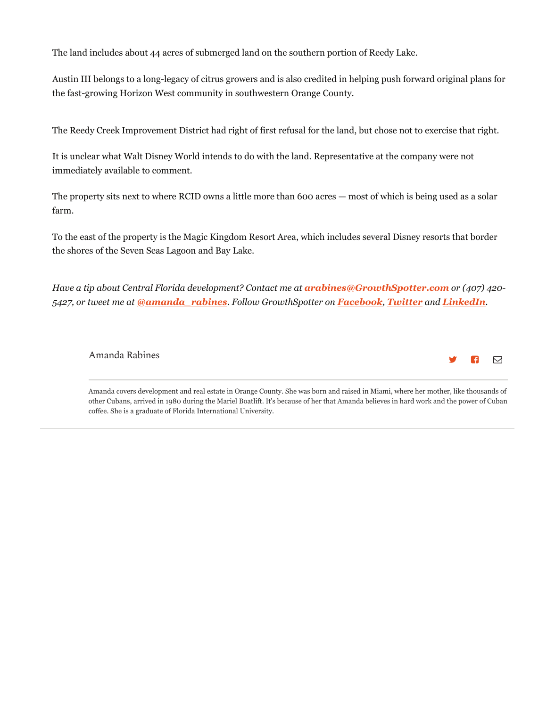The land includes about 44 acres of submerged land on the southern portion of Reedy Lake.

Austin III belongs to a long-legacy of citrus growers and is also credited in helping push forward original plans for the fast-growing Horizon West community in southwestern Orange County.

The Reedy Creek Improvement District had right of first refusal for the land, but chose not to exercise that right.

It is unclear what Walt Disney World intends to do with the land. Representative at the company were not immediately available to comment.

The property sits next to where RCID owns a little more than 600 acres — most of which is being used as a solar farm.

To the east of the property is the Magic Kingdom Resort Area, which includes several Disney resorts that border the shores of the Seven Seas Lagoon and Bay Lake.

*Have a tip about Central Florida development? Contact me at arabines@GrowthSpotter.com or (407) 420- 5427, or tweet me at @amanda\_rabines. Follow GrowthSpotter on Facebook, Twitter and LinkedIn.*

## Amanda Rabines



Amanda covers development and real estate in Orange County. She was born and raised in Miami, where her mother, like thousands of other Cubans, arrived in 1980 during the Mariel Boatlift. It's because of her that Amanda believes in hard work and the power of Cuban coffee. She is a graduate of Florida International University.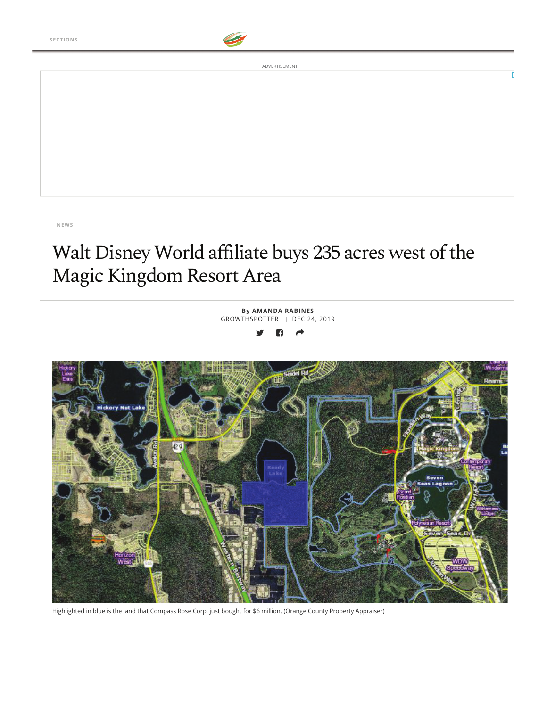

ADVERTISEMENT

## Walt Disney World affiliate buys 235 acres west of the Magic Kingdom Resort Area

**By AMANDA RABINES** GROWTHSPOTTER | DEC 24, 2019



Highlighted in blue is the land that Compass Rose Corp. just bought for \$6 million. (Orange County Property Appraiser)